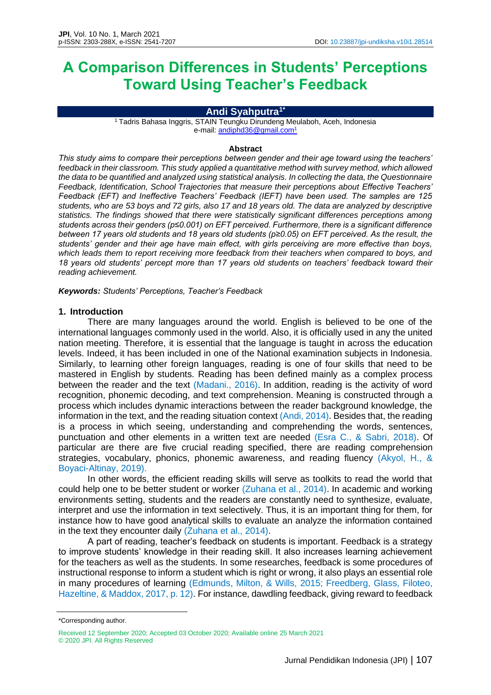# **A Comparison Differences in Students' Perceptions Toward Using Teacher's Feedback**

#### **Andi Syahputra1\***

<sup>1</sup> Tadris Bahasa Inggris, STAIN Teungku Dirundeng Meulaboh, Aceh, Indonesia e-mail[: andiphd36@gmail.com](mailto:andiphd36@gmail.com)<sup>1</sup>

#### **Abstract**

*This study aims to compare their perceptions between gender and their age toward using the teachers' feedback in their classroom. This study applied a quantitative method with survey method, which allowed the data to be quantified and analyzed using statistical analysis. In collecting the data, the Questionnaire Feedback, Identification, School Trajectories that measure their perceptions about Effective Teachers' Feedback (EFT) and Ineffective Teachers' Feedback (IEFT) have been used. The samples are 125 students, who are 53 boys and 72 girls, also 17 and 18 years old. The data are analyzed by descriptive statistics. The findings showed that there were statistically significant differences perceptions among students across their genders (p≤0.001) on EFT perceived. Furthermore, there is a significant difference between 17 years old students and 18 years old students (p≥0.05) on EFT perceived. As the result, the students' gender and their age have main effect, with girls perceiving are more effective than boys, which leads them to report receiving more feedback from their teachers when compared to boys, and 18 years old students' percept more than 17 years old students on teachers' feedback toward their reading achievement.*

*Keywords: Students' Perceptions, Teacher's Feedback*

#### **1. Introduction**

There are many languages around the world. English is believed to be one of the international languages commonly used in the world. Also, it is officially used in any the united nation meeting. Therefore, it is essential that the language is taught in across the education levels. Indeed, it has been included in one of the National examination subjects in Indonesia. Similarly, to learning other foreign languages, reading is one of four skills that need to be mastered in English by students. Reading has been defined mainly as a complex process between the reader and the text (Madani., 2016). In addition, reading is the activity of word recognition, phonemic decoding, and text comprehension. Meaning is constructed through a process which includes dynamic interactions between the reader background knowledge, the information in the text, and the reading situation context (Andi, 2014). Besides that, the reading is a process in which seeing, understanding and comprehending the words, sentences, punctuation and other elements in a written text are needed (Esra C., & Sabri, 2018). Of particular are there are five crucial reading specified, there are reading comprehension strategies, vocabulary, phonics, phonemic awareness, and reading fluency (Akyol, H., & Boyaci-Altinay, 2019).

In other words, the efficient reading skills will serve as toolkits to read the world that could help one to be better student or worker (Zuhana et al., 2014). In academic and working environments setting, students and the readers are constantly need to synthesize, evaluate, interpret and use the information in text selectively. Thus, it is an important thing for them, for instance how to have good analytical skills to evaluate an analyze the information contained in the text they encounter daily (Zuhana et al., 2014).

A part of reading, teacher's feedback on students is important. Feedback is a strategy to improve students' knowledge in their reading skill. It also increases learning achievement for the teachers as well as the students. In some researches, feedback is some procedures of instructional response to inform a student which is right or wrong, it also plays an essential role in many procedures of learning (Edmunds, Milton, & Wills, 2015; Freedberg, Glass, Filoteo, Hazeltine, & Maddox, 2017, p. 12). For instance, dawdling feedback, giving reward to feedback

<sup>\*</sup>Corresponding author.

Received 12 September 2020; Accepted 03 October 2020; Available online 25 March 2021 © 2020 JPI. All Rights Reserved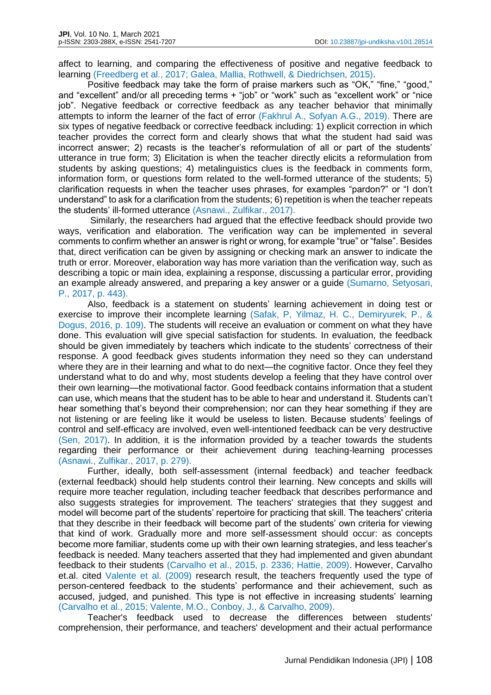affect to learning, and comparing the effectiveness of positive and negative feedback to learning (Freedberg et al., 2017; Galea, Mallia, Rothwell, & Diedrichsen, 2015).

Positive feedback may take the form of praise markers such as "OK," "fine," "good," and "excellent" and/or all preceding terms + "job" or "work" such as "excellent work" or "nice job". Negative feedback or corrective feedback as any teacher behavior that minimally attempts to inform the learner of the fact of error (Fakhrul A., Sofyan A.G., 2019). There are six types of negative feedback or corrective feedback including: 1) explicit correction in which teacher provides the correct form and clearly shows that what the student had said was incorrect answer; 2) recasts is the teacher's reformulation of all or part of the students' utterance in true form; 3) Elicitation is when the teacher directly elicits a reformulation from students by asking questions; 4) metalinguistics clues is the feedback in comments form, information form, or questions form related to the well-formed utterance of the students; 5) clarification requests in when the teacher uses phrases, for examples "pardon?" or "I don't understand" to ask for a clarification from the students; 6) repetition is when the teacher repeats the students' ill-formed utterance (Asnawi., Zulfikar., 2017).

Similarly, the researchers had argued that the effective feedback should provide two ways, verification and elaboration. The verification way can be implemented in several comments to confirm whether an answer is right or wrong, for example "true" or "false". Besides that, direct verification can be given by assigning or checking mark an answer to indicate the truth or error. Moreover, elaboration way has more variation than the verification way, such as describing a topic or main idea, explaining a response, discussing a particular error, providing an example already answered, and preparing a key answer or a guide (Sumarno, Setyosari, P., 2017, p. 443).

Also, feedback is a statement on students' learning achievement in doing test or exercise to improve their incomplete learning (Safak, P, Yilmaz, H. C., Demiryurek, P., & Dogus, 2016, p. 109). The students will receive an evaluation or comment on what they have done. This evaluation will give special satisfaction for students. In evaluation, the feedback should be given immediately by teachers which indicate to the students' correctness of their response. A good feedback gives students information they need so they can understand where they are in their learning and what to do next—the cognitive factor. Once they feel they understand what to do and why, most students develop a feeling that they have control over their own learning—the motivational factor. Good feedback contains information that a student can use, which means that the student has to be able to hear and understand it. Students can't hear something that's beyond their comprehension; nor can they hear something if they are not listening or are feeling like it would be useless to listen. Because students' feelings of control and self-efficacy are involved, even well-intentioned feedback can be very destructive (Sen, 2017). In addition, it is the information provided by a teacher towards the students regarding their performance or their achievement during teaching-learning processes (Asnawi., Zulfikar., 2017, p. 279).

Further, ideally, both self-assessment (internal feedback) and teacher feedback (external feedback) should help students control their learning. New concepts and skills will require more teacher regulation, including teacher feedback that describes performance and also suggests strategies for improvement. The teachers' strategies that they suggest and model will become part of the students' repertoire for practicing that skill. The teachers' criteria that they describe in their feedback will become part of the students' own criteria for viewing that kind of work. Gradually more and more self-assessment should occur: as concepts become more familiar, students come up with their own learning strategies, and less teacher's feedback is needed. Many teachers asserted that they had implemented and given abundant feedback to their students (Carvalho et al., 2015, p. 2336; Hattie, 2009). However, Carvalho et.al. cited Valente et al. (2009) research result, the teachers frequently used the type of person-centered feedback to the students' performance and their achievement, such as accused, judged, and punished. This type is not effective in increasing students' learning (Carvalho et al., 2015; Valente, M.O., Conboy, J., & Carvalho, 2009).

Teacher's feedback used to decrease the differences between students' comprehension, their performance, and teachers' development and their actual performance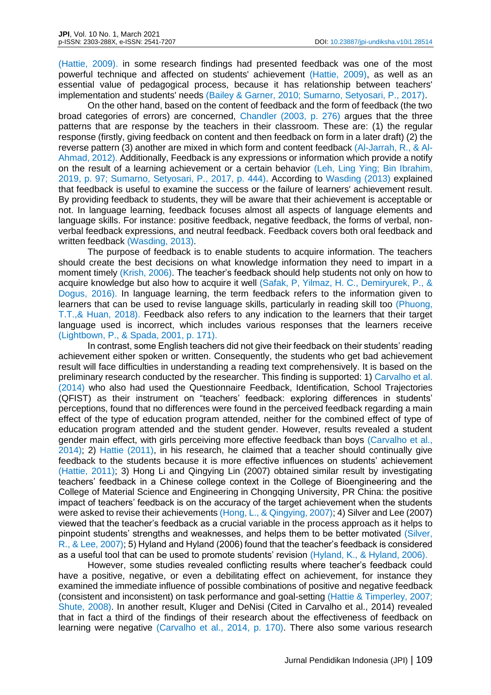(Hattie, 2009). in some research findings had presented feedback was one of the most powerful technique and affected on students' achievement (Hattie, 2009), as well as an essential value of pedagogical process, because it has relationship between teachers' implementation and students' needs (Bailey & Garner, 2010; Sumarno, Setyosari, P., 2017).

On the other hand, based on the content of feedback and the form of feedback (the two broad categories of errors) are concerned, Chandler (2003, p. 276) argues that the three patterns that are response by the teachers in their classroom. These are: (1) the regular response (firstly, giving feedback on content and then feedback on form in a later draft) (2) the reverse pattern (3) another are mixed in which form and content feedback (Al-Jarrah, R., & Al-Ahmad, 2012). Additionally, Feedback is any expressions or information which provide a notify on the result of a learning achievement or a certain behavior (Leh, Ling Ying; Bin Ibrahim, 2019, p. 97; Sumarno, Setyosari, P., 2017, p. 444). According to Wasding (2013) explained that feedback is useful to examine the success or the failure of learners' achievement result. By providing feedback to students, they will be aware that their achievement is acceptable or not. In language learning, feedback focuses almost all aspects of language elements and language skills. For instance: positive feedback, negative feedback, the forms of verbal, nonverbal feedback expressions, and neutral feedback. Feedback covers both oral feedback and written feedback (Wasding, 2013).

The purpose of feedback is to enable students to acquire information. The teachers should create the best decisions on what knowledge information they need to impart in a moment timely (Krish, 2006). The teacher's feedback should help students not only on how to acquire knowledge but also how to acquire it well (Safak, P, Yilmaz, H. C., Demiryurek, P., & Dogus, 2016). In language learning, the term feedback refers to the information given to learners that can be used to revise language skills, particularly in reading skill too (Phuong, T.T.,& Huan, 2018). Feedback also refers to any indication to the learners that their target language used is incorrect, which includes various responses that the learners receive (Lightbown, P., & Spada, 2001, p. 171).

In contrast, some English teachers did not give their feedback on their students' reading achievement either spoken or written. Consequently, the students who get bad achievement result will face difficulties in understanding a reading text comprehensively. It is based on the preliminary research conducted by the researcher. This finding is supported: 1) Carvalho et al. (2014) who also had used the Questionnaire Feedback, Identification, School Trajectories (QFIST) as their instrument on "teachers' feedback: exploring differences in students' perceptions, found that no differences were found in the perceived feedback regarding a main effect of the type of education program attended, neither for the combined effect of type of education program attended and the student gender. However, results revealed a student gender main effect, with girls perceiving more effective feedback than boys (Carvalho et al., 2014); 2) Hattie (2011), in his research, he claimed that a teacher should continually give feedback to the students because it is more effective influences on students' achievement (Hattie, 2011); 3) Hong Li and Qingying Lin (2007) obtained similar result by investigating teachers' feedback in a Chinese college context in the College of Bioengineering and the College of Material Science and Engineering in Chongqing University, PR China: the positive impact of teachers' feedback is on the accuracy of the target achievement when the students were asked to revise their achievements (Hong, L., & Qingying, 2007); 4) Silver and Lee (2007) viewed that the teacher's feedback as a crucial variable in the process approach as it helps to pinpoint students' strengths and weaknesses, and helps them to be better motivated (Silver, R., & Lee, 2007); 5) Hyland and Hyland (2006) found that the teacher's feedback is considered as a useful tool that can be used to promote students' revision (Hyland, K., & Hyland, 2006).

However, some studies revealed conflicting results where teacher's feedback could have a positive, negative, or even a debilitating effect on achievement, for instance they examined the immediate influence of possible combinations of positive and negative feedback (consistent and inconsistent) on task performance and goal-setting (Hattie & Timperley, 2007; Shute, 2008). In another result, Kluger and DeNisi (Cited in Carvalho et al., 2014) revealed that in fact a third of the findings of their research about the effectiveness of feedback on learning were negative (Carvalho et al., 2014, p. 170). There also some various research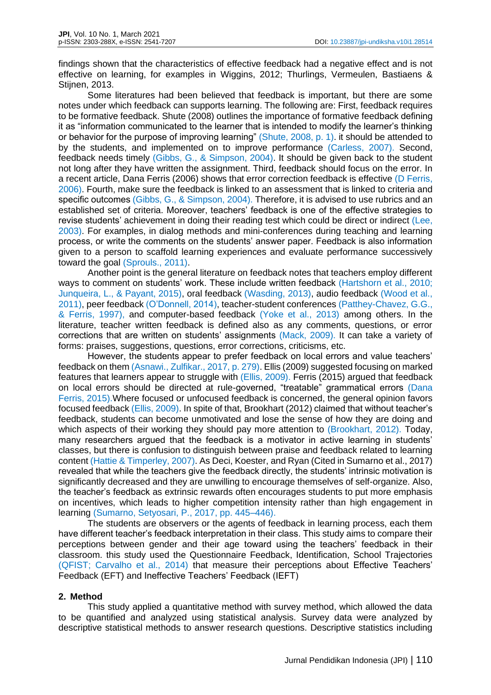findings shown that the characteristics of effective feedback had a negative effect and is not effective on learning, for examples in Wiggins, 2012; Thurlings, Vermeulen, Bastiaens & Stijnen, 2013.

Some literatures had been believed that feedback is important, but there are some notes under which feedback can supports learning. The following are: First, feedback requires to be formative feedback. Shute (2008) outlines the importance of formative feedback defining it as "information communicated to the learner that is intended to modify the learner's thinking or behavior for the purpose of improving learning" (Shute, 2008, p. 1). it should be attended to by the students, and implemented on to improve performance (Carless, 2007). Second, feedback needs timely (Gibbs, G., & Simpson, 2004). It should be given back to the student not long after they have written the assignment. Third, feedback should focus on the error. In a recent article, Dana Ferris (2006) shows that error correction feedback is effective (D Ferris, 2006). Fourth, make sure the feedback is linked to an assessment that is linked to criteria and specific outcomes (Gibbs, G., & Simpson, 2004). Therefore, it is advised to use rubrics and an established set of criteria. Moreover, teachers' feedback is one of the effective strategies to revise students' achievement in doing their reading test which could be direct or indirect (Lee, 2003). For examples, in dialog methods and mini-conferences during teaching and learning process, or write the comments on the students' answer paper. Feedback is also information given to a person to scaffold learning experiences and evaluate performance successively toward the goal (Sprouls., 2011).

Another point is the general literature on feedback notes that teachers employ different ways to comment on students' work. These include written feedback (Hartshorn et al., 2010; Junqueira, L., & Payant, 2015), oral feedback (Wasding, 2013), audio feedback (Wood et al., 2011), peer feedback (O'Donnell, 2014), teacher-student conferences (Patthey-Chavez, G.G., & Ferris, 1997), and computer-based feedback (Yoke et al., 2013) among others. In the literature, teacher written feedback is defined also as any comments, questions, or error corrections that are written on students' assignments (Mack, 2009). It can take a variety of forms: praises, suggestions, questions, error corrections, criticisms, etc.

However, the students appear to prefer feedback on local errors and value teachers' feedback on them (Asnawi., Zulfikar., 2017, p. 279). Ellis (2009) suggested focusing on marked features that learners appear to struggle with (Ellis, 2009). Ferris (2015) argued that feedback on local errors should be directed at rule-governed, "treatable" grammatical errors (Dana Ferris, 2015).Where focused or unfocused feedback is concerned, the general opinion favors focused feedback (Ellis, 2009). In spite of that, Brookhart (2012) claimed that without teacher's feedback, students can become unmotivated and lose the sense of how they are doing and which aspects of their working they should pay more attention to (Brookhart, 2012). Today, many researchers argued that the feedback is a motivator in active learning in students' classes, but there is confusion to distinguish between praise and feedback related to learning content (Hattie & Timperley, 2007). As Deci, Koester, and Ryan (Cited in Sumarno et al., 2017) revealed that while the teachers give the feedback directly, the students' intrinsic motivation is significantly decreased and they are unwilling to encourage themselves of self-organize. Also, the teacher's feedback as extrinsic rewards often encourages students to put more emphasis on incentives, which leads to higher competition intensity rather than high engagement in learning (Sumarno, Setyosari, P., 2017, pp. 445–446).

The students are observers or the agents of feedback in learning process, each them have different teacher's feedback interpretation in their class. This study aims to compare their perceptions between gender and their age toward using the teachers' feedback in their classroom. this study used the Questionnaire Feedback, Identification, School Trajectories (QFIST; Carvalho et al., 2014) that measure their perceptions about Effective Teachers' Feedback (EFT) and Ineffective Teachers' Feedback (IEFT)

#### **2. Method**

This study applied a quantitative method with survey method, which allowed the data to be quantified and analyzed using statistical analysis. Survey data were analyzed by descriptive statistical methods to answer research questions. Descriptive statistics including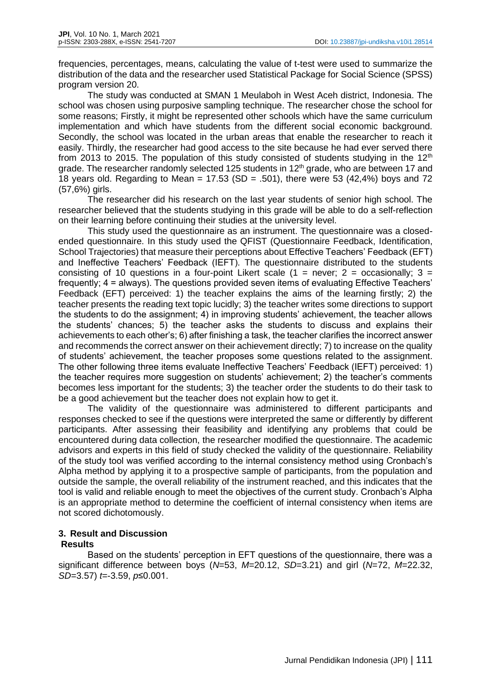frequencies, percentages, means, calculating the value of t-test were used to summarize the distribution of the data and the researcher used Statistical Package for Social Science (SPSS) program version 20.

The study was conducted at SMAN 1 Meulaboh in West Aceh district, Indonesia. The school was chosen using purposive sampling technique. The researcher chose the school for some reasons; Firstly, it might be represented other schools which have the same curriculum implementation and which have students from the different social economic background. Secondly, the school was located in the urban areas that enable the researcher to reach it easily. Thirdly, the researcher had good access to the site because he had ever served there from 2013 to 2015. The population of this study consisted of students studying in the  $12<sup>th</sup>$ grade. The researcher randomly selected 125 students in 12<sup>th</sup> grade, who are between 17 and 18 years old. Regarding to Mean =  $17.53$  (SD = .501), there were 53 (42.4%) boys and 72 (57,6%) girls.

The researcher did his research on the last year students of senior high school. The researcher believed that the students studying in this grade will be able to do a self-reflection on their learning before continuing their studies at the university level.

This study used the questionnaire as an instrument. The questionnaire was a closedended questionnaire. In this study used the QFIST (Questionnaire Feedback, Identification, School Trajectories) that measure their perceptions about Effective Teachers' Feedback (EFT) and Ineffective Teachers' Feedback (IEFT). The questionnaire distributed to the students consisting of 10 questions in a four-point Likert scale (1 = never; 2 = occasionally; 3 = frequently; 4 = always). The questions provided seven items of evaluating Effective Teachers' Feedback (EFT) perceived: 1) the teacher explains the aims of the learning firstly; 2) the teacher presents the reading text topic lucidly; 3) the teacher writes some directions to support the students to do the assignment; 4) in improving students' achievement, the teacher allows the students' chances; 5) the teacher asks the students to discuss and explains their achievements to each other's; 6) after finishing a task, the teacher clarifies the incorrect answer and recommends the correct answer on their achievement directly; 7) to increase on the quality of students' achievement, the teacher proposes some questions related to the assignment. The other following three items evaluate Ineffective Teachers' Feedback (IEFT) perceived: 1) the teacher requires more suggestion on students' achievement; 2) the teacher's comments becomes less important for the students; 3) the teacher order the students to do their task to be a good achievement but the teacher does not explain how to get it.

The validity of the questionnaire was administered to different participants and responses checked to see if the questions were interpreted the same or differently by different participants. After assessing their feasibility and identifying any problems that could be encountered during data collection, the researcher modified the questionnaire. The academic advisors and experts in this field of study checked the validity of the questionnaire. Reliability of the study tool was verified according to the internal consistency method using Cronbach's Alpha method by applying it to a prospective sample of participants, from the population and outside the sample, the overall reliability of the instrument reached, and this indicates that the tool is valid and reliable enough to meet the objectives of the current study. Cronbach's Alpha is an appropriate method to determine the coefficient of internal consistency when items are not scored dichotomously.

# **3. Result and Discussion**

#### **Results**

Based on the students' perception in EFT questions of the questionnaire, there was a significant difference between boys (*N*=53, *M*=20.12, *SD*=3.21) and girl (*N*=72, *M*=22.32, *SD*=3.57) *t=*-3.59, *p*≤0.001.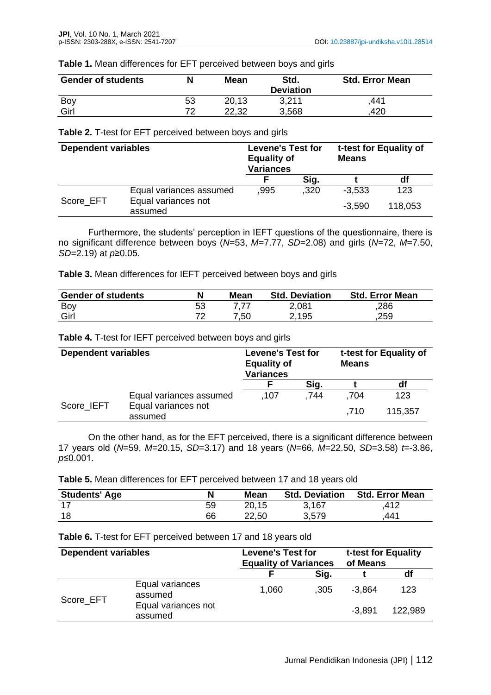#### **Table 1.** Mean differences for EFT perceived between boys and girls

| <b>Gender of students</b> |    | <b>Mean</b> | Std.<br><b>Deviation</b> | <b>Std. Error Mean</b> |
|---------------------------|----|-------------|--------------------------|------------------------|
| Boy                       | 53 | 20,13       | 3,211                    | ,441                   |
| Girl                      | 72 | 22,32       | 3,568                    | 420                    |

#### **Table 2.** T-test for EFT perceived between boys and girls

| <b>Dependent variables</b> |                                | <b>Levene's Test for</b><br><b>Equality of</b><br><b>Variances</b> |      | t-test for Equality of<br><b>Means</b> |         |
|----------------------------|--------------------------------|--------------------------------------------------------------------|------|----------------------------------------|---------|
|                            |                                |                                                                    | Sig. |                                        | df      |
|                            | Equal variances assumed        | .995                                                               | .320 | $-3,533$                               | 123     |
| Score EFT                  | Equal variances not<br>assumed |                                                                    |      | $-3,590$                               | 118,053 |

Furthermore, the students' perception in IEFT questions of the questionnaire, there is no significant difference between boys (*N*=53, *M*=7.77, *SD*=2.08) and girls (*N*=72, *M*=7.50, *SD*=2.19) at *p*≥0.05.

| Table 3. Mean differences for IEFT perceived between boys and girls |  |
|---------------------------------------------------------------------|--|
|---------------------------------------------------------------------|--|

| <b>Gender of students</b> | N  | Mean | <b>Std. Deviation</b> | <b>Std. Error Mean</b> |
|---------------------------|----|------|-----------------------|------------------------|
| Boy                       | 53 |      | 2,081                 | ,286                   |
| Girl                      |    | 7,50 | 2,195                 | .259                   |

**Table 4.** T-test for IEFT perceived between boys and girls

| <b>Dependent variables</b> |                                | <b>Levene's Test for</b><br><b>Equality of</b><br><b>Variances</b> |      | t-test for Equality of<br><b>Means</b> |         |  |
|----------------------------|--------------------------------|--------------------------------------------------------------------|------|----------------------------------------|---------|--|
|                            |                                |                                                                    | Sig. |                                        | df      |  |
|                            | Equal variances assumed        | .107                                                               | .744 | .704                                   | 123     |  |
| Score IEFT                 | Equal variances not<br>assumed |                                                                    |      | .710                                   | 115,357 |  |

On the other hand, as for the EFT perceived, there is a significant difference between 17 years old (*N*=59, *M*=20.15, *SD*=3.17) and 18 years (*N*=66, *M*=22.50, *SD*=3.58) *t=*-3.86, *p*≤0.001.

**Table 5.** Mean differences for EFT perceived between 17 and 18 years old

| <b>Students' Age</b> | N  | Mean  | <b>Std. Deviation</b> | <b>Std. Error Mean</b> |
|----------------------|----|-------|-----------------------|------------------------|
|                      | 59 | 20,15 | 3,167                 | ,412                   |
| 18                   | 66 | 22,50 | 3,579                 | 441                    |

#### **Table 6.** T-test for EFT perceived between 17 and 18 years old

| <b>Dependent variables</b> |                                | <b>Levene's Test for</b><br><b>Equality of Variances</b> |      | t-test for Equality<br>of Means |         |
|----------------------------|--------------------------------|----------------------------------------------------------|------|---------------------------------|---------|
|                            |                                |                                                          | Sig. |                                 | df      |
| Score EFT                  | Equal variances<br>assumed     | 1,060                                                    | .305 | $-3,864$                        | 123     |
|                            | Equal variances not<br>assumed |                                                          |      | $-3.891$                        | 122,989 |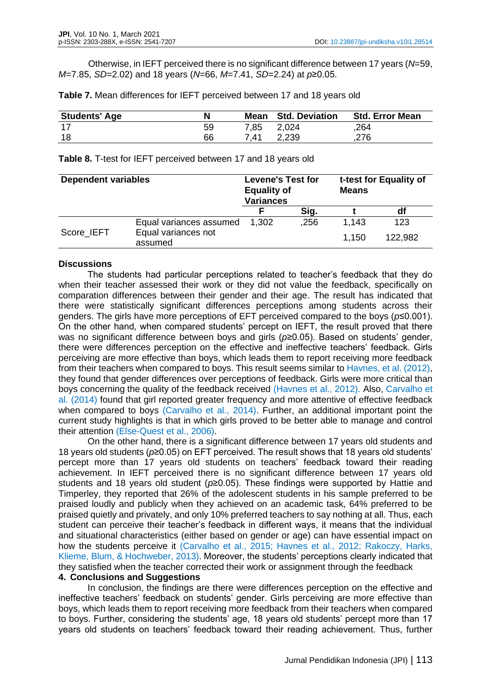Otherwise, in IEFT perceived there is no significant difference between 17 years (*N*=59, *M*=7.85, *SD*=2.02) and 18 years (*N*=66, *M*=7.41, *SD*=2.24) at *p*≥0.05.

**Table 7.** Mean differences for IEFT perceived between 17 and 18 years old

| <b>Students' Age</b> | N  |      | <b>Mean</b> Std. Deviation | <b>Std. Error Mean</b> |
|----------------------|----|------|----------------------------|------------------------|
| -17                  | 59 | 7,85 | 2,024                      | .264                   |
| 18                   | 66 | 7,41 | 2,239                      | .276                   |

**Table 8.** T-test for IEFT perceived between 17 and 18 years old

| <b>Dependent variables</b> |                                | <b>Levene's Test for</b><br><b>Equality of</b><br><b>Variances</b> |      | t-test for Equality of<br><b>Means</b> |         |
|----------------------------|--------------------------------|--------------------------------------------------------------------|------|----------------------------------------|---------|
|                            |                                | F                                                                  | Sig. |                                        | df      |
|                            | Equal variances assumed        | 1,302                                                              | .256 | 1.143                                  | 123     |
| Score IEFT                 | Equal variances not<br>assumed |                                                                    |      | 1.150                                  | 122.982 |

#### **Discussions**

The students had particular perceptions related to teacher's feedback that they do when their teacher assessed their work or they did not value the feedback, specifically on comparation differences between their gender and their age. The result has indicated that there were statistically significant differences perceptions among students across their genders. The girls have more perceptions of EFT perceived compared to the boys (*p*≤0.001). On the other hand, when compared students' percept on IEFT, the result proved that there was no significant difference between boys and girls (*p*≥0.05). Based on students' gender, there were differences perception on the effective and ineffective teachers' feedback. Girls perceiving are more effective than boys, which leads them to report receiving more feedback from their teachers when compared to boys. This result seems similar to Havnes, et al. (2012), they found that gender differences over perceptions of feedback. Girls were more critical than boys concerning the quality of the feedback received (Havnes et al., 2012). Also, Carvalho et al. (2014) found that girl reported greater frequency and more attentive of effective feedback when compared to boys (Carvalho et al., 2014). Further, an additional important point the current study highlights is that in which girls proved to be better able to manage and control their attention (Else-Quest et al., 2006).

On the other hand, there is a significant difference between 17 years old students and 18 years old students (*p*≥0.05) on EFT perceived. The result shows that 18 years old students' percept more than 17 years old students on teachers' feedback toward their reading achievement. In IEFT perceived there is no significant difference between 17 years old students and 18 years old student (*p*≥0.05). These findings were supported by Hattie and Timperley, they reported that 26% of the adolescent students in his sample preferred to be praised loudly and publicly when they achieved on an academic task, 64% preferred to be praised quietly and privately, and only 10% preferred teachers to say nothing at all. Thus, each student can perceive their teacher's feedback in different ways, it means that the individual and situational characteristics (either based on gender or age) can have essential impact on how the students perceive it (Carvalho et al., 2015; Havnes et al., 2012; Rakoczy, Harks, Klieme, Blum, & Hochweber, 2013). Moreover, the students' perceptions clearly indicated that they satisfied when the teacher corrected their work or assignment through the feedback

### **4. Conclusions and Suggestions**

In conclusion, the findings are there were differences perception on the effective and ineffective teachers' feedback on students' gender. Girls perceiving are more effective than boys, which leads them to report receiving more feedback from their teachers when compared to boys. Further, considering the students' age, 18 years old students' percept more than 17 years old students on teachers' feedback toward their reading achievement. Thus, further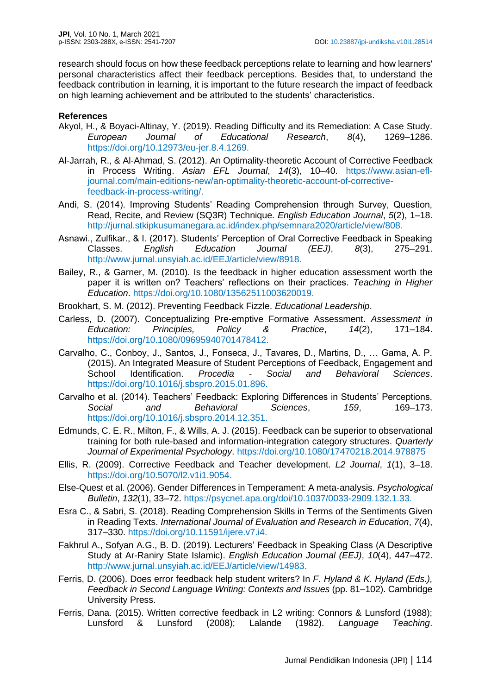research should focus on how these feedback perceptions relate to learning and how learners' personal characteristics affect their feedback perceptions. Besides that, to understand the feedback contribution in learning, it is important to the future research the impact of feedback on high learning achievement and be attributed to the students' characteristics.

## **References**

- Akyol, H., & Boyaci-Altinay, Y. (2019). Reading Difficulty and its Remediation: A Case Study. *European Journal of Educational Research*, *8*(4), 1269–1286. https://doi.org/10.12973/eu-jer.8.4.1269.
- Al-Jarrah, R., & Al-Ahmad, S. (2012). An Optimality-theoretic Account of Corrective Feedback in Process Writing. *Asian EFL Journal*, *14*(3), 10–40. https://www.asian-efljournal.com/main-editions-new/an-optimality-theoretic-account-of-correctivefeedback-in-process-writing/.
- Andi, S. (2014). Improving Students' Reading Comprehension through Survey, Question, Read, Recite, and Review (SQ3R) Technique. *English Education Journal*, *5*(2), 1–18. http://jurnal.stkipkusumanegara.ac.id/index.php/semnara2020/article/view/808.
- Asnawi., Zulfikar., & I. (2017). Students' Perception of Oral Corrective Feedback in Speaking Classes. *English Education Journal (EEJ)*, *8*(3), 275–291. http://www.jurnal.unsyiah.ac.id/EEJ/article/view/8918.
- Bailey, R., & Garner, M. (2010). Is the feedback in higher education assessment worth the paper it is written on? Teachers' reflections on their practices. *Teaching in Higher Education*. https://doi.org/10.1080/13562511003620019.
- Brookhart, S. M. (2012). Preventing Feedback Fizzle. *Educational Leadership*.
- Carless, D. (2007). Conceptualizing Pre-emptive Formative Assessment. *Assessment in Education: Principles, Policy & Practice*, *14*(2), 171–184. https://doi.org/10.1080/09695940701478412.
- Carvalho, C., Conboy, J., Santos, J., Fonseca, J., Tavares, D., Martins, D., … Gama, A. P. (2015). An Integrated Measure of Student Perceptions of Feedback, Engagement and School Identification. *Procedia - Social and Behavioral Sciences*. https://doi.org/10.1016/j.sbspro.2015.01.896.
- Carvalho et al. (2014). Teachers' Feedback: Exploring Differences in Students' Perceptions. *Social and Behavioral Sciences*, *159*, 169–173. https://doi.org/10.1016/j.sbspro.2014.12.351.
- Edmunds, C. E. R., Milton, F., & Wills, A. J. (2015). Feedback can be superior to observational training for both rule-based and information-integration category structures. *Quarterly Journal of Experimental Psychology*. https://doi.org/10.1080/17470218.2014.978875
- Ellis, R. (2009). Corrective Feedback and Teacher development. *L2 Journal*, *1*(1), 3–18. https://doi.org/10.5070/l2.v1i1.9054.
- Else-Quest et al. (2006). Gender Differences in Temperament: A meta-analysis. *Psychological Bulletin*, *132*(1), 33–72. https://psycnet.apa.org/doi/10.1037/0033-2909.132.1.33.
- Esra C., & Sabri, S. (2018). Reading Comprehension Skills in Terms of the Sentiments Given in Reading Texts. *International Journal of Evaluation and Research in Education*, *7*(4), 317–330. https://doi.org/10.11591/ijere.v7.i4.
- Fakhrul A., Sofyan A.G., B. D. (2019). Lecturers' Feedback in Speaking Class (A Descriptive Study at Ar-Raniry State Islamic). *English Education Journal (EEJ)*, *10*(4), 447–472. http://www.jurnal.unsyiah.ac.id/EEJ/article/view/14983.
- Ferris, D. (2006). Does error feedback help student writers? In *F. Hyland & K. Hyland (Eds.), Feedback in Second Language Writing: Contexts and Issues* (pp. 81–102). Cambridge University Press.
- Ferris, Dana. (2015). Written corrective feedback in L2 writing: Connors & Lunsford (1988); Lunsford & Lunsford (2008); Lalande (1982). *Language Teaching*.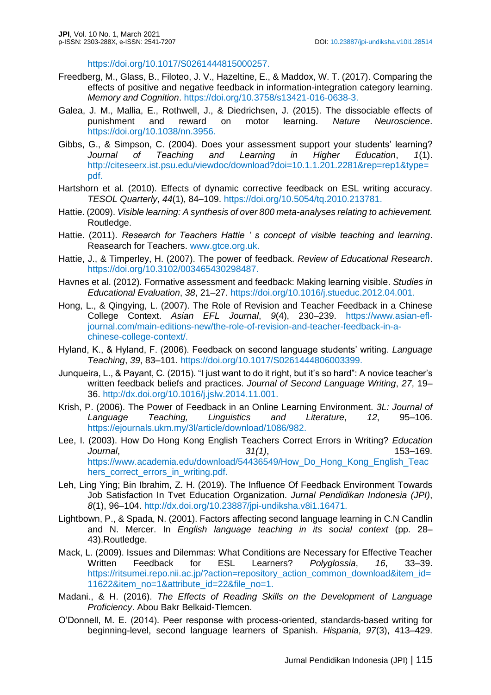https://doi.org/10.1017/S0261444815000257.

- Freedberg, M., Glass, B., Filoteo, J. V., Hazeltine, E., & Maddox, W. T. (2017). Comparing the effects of positive and negative feedback in information-integration category learning. *Memory and Cognition*. https://doi.org/10.3758/s13421-016-0638-3.
- Galea, J. M., Mallia, E., Rothwell, J., & Diedrichsen, J. (2015). The dissociable effects of punishment and reward on motor learning. *Nature Neuroscience*. https://doi.org/10.1038/nn.3956.
- Gibbs, G., & Simpson, C. (2004). Does your assessment support your students' learning? *Journal of Teaching and Learning in Higher Education*, *1*(1). http://citeseerx.ist.psu.edu/viewdoc/download?doi=10.1.1.201.2281&rep=rep1&type= pdf.
- Hartshorn et al. (2010). Effects of dynamic corrective feedback on ESL writing accuracy. *TESOL Quarterly*, *44*(1), 84–109. https://doi.org/10.5054/tq.2010.213781.
- Hattie. (2009). *Visible learning: A synthesis of over 800 meta-analyses relating to achievement.* Routledge.
- Hattie. (2011). *Research for Teachers Hattie ' s concept of visible teaching and learning*. Reasearch for Teachers. www.gtce.org.uk.
- Hattie, J., & Timperley, H. (2007). The power of feedback. *Review of Educational Research*. https://doi.org/10.3102/003465430298487.
- Havnes et al. (2012). Formative assessment and feedback: Making learning visible. *Studies in Educational Evaluation*, *38*, 21–27. https://doi.org/10.1016/j.stueduc.2012.04.001.
- Hong, L., & Qingying, L. (2007). The Role of Revision and Teacher Feedback in a Chinese College Context. *Asian EFL Journal*, *9*(4), 230–239. https://www.asian-efljournal.com/main-editions-new/the-role-of-revision-and-teacher-feedback-in-achinese-college-context/.
- Hyland, K., & Hyland, F. (2006). Feedback on second language students' writing. *Language Teaching*, *39*, 83–101. https://doi.org/10.1017/S0261444806003399.
- Junqueira, L., & Payant, C. (2015). "I just want to do it right, but it's so hard": A novice teacher's written feedback beliefs and practices. *Journal of Second Language Writing*, *27*, 19– 36. http://dx.doi.org/10.1016/j.jslw.2014.11.001.
- Krish, P. (2006). The Power of Feedback in an Online Learning Environment. *3L: Journal of Language Teaching, Linguistics and Literature*, *12*, 95–106. https://ejournals.ukm.my/3l/article/download/1086/982.
- Lee, I. (2003). How Do Hong Kong English Teachers Correct Errors in Writing? *Education Journal*, *31(1)*, 153–169. https://www.academia.edu/download/54436549/How\_Do\_Hong\_Kong\_English\_Teac hers\_correct\_errors\_in\_writing.pdf.
- Leh, Ling Ying; Bin Ibrahim, Z. H. (2019). The Influence Of Feedback Environment Towards Job Satisfaction In Tvet Education Organization. *Jurnal Pendidikan Indonesia (JPI)*, *8*(1), 96–104. http://dx.doi.org/10.23887/jpi-undiksha.v8i1.16471.
- Lightbown, P., & Spada, N. (2001). Factors affecting second language learning in C.N Candlin and N. Mercer. In *English language teaching in its social context* (pp. 28– 43).Routledge.
- Mack, L. (2009). Issues and Dilemmas: What Conditions are Necessary for Effective Teacher Written Feedback for ESL Learners? *Polyglossia*, *16*, 33–39. https://ritsumei.repo.nii.ac.jp/?action=repository\_action\_common\_download&item\_id= 11622&item\_no=1&attribute\_id=22&file\_no=1.
- Madani., & H. (2016). *The Effects of Reading Skills on the Development of Language Proficiency*. Abou Bakr Belkaid-Tlemcen.
- O'Donnell, M. E. (2014). Peer response with process-oriented, standards-based writing for beginning-level, second language learners of Spanish. *Hispania*, *97*(3), 413–429.